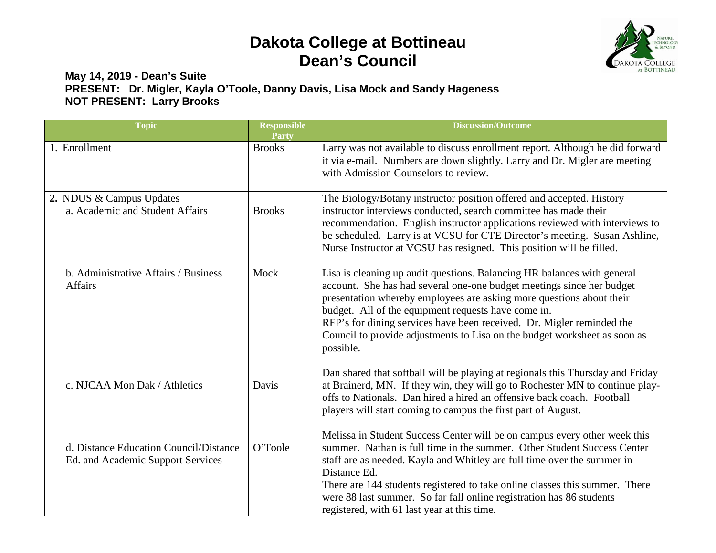## **Dakota College at Bottineau Dean's Council**



## **May 14, 2019 - Dean's Suite PRESENT: Dr. Migler, Kayla O'Toole, Danny Davis, Lisa Mock and Sandy Hageness NOT PRESENT: Larry Brooks**

| <b>Topic</b>                                                                | <b>Responsible</b><br>Party | <b>Discussion/Outcome</b>                                                                                                                                                                                                                                                                                                                                                                                                                             |
|-----------------------------------------------------------------------------|-----------------------------|-------------------------------------------------------------------------------------------------------------------------------------------------------------------------------------------------------------------------------------------------------------------------------------------------------------------------------------------------------------------------------------------------------------------------------------------------------|
| 1. Enrollment                                                               | <b>Brooks</b>               | Larry was not available to discuss enrollment report. Although he did forward<br>it via e-mail. Numbers are down slightly. Larry and Dr. Migler are meeting<br>with Admission Counselors to review.                                                                                                                                                                                                                                                   |
| 2. NDUS & Campus Updates<br>a. Academic and Student Affairs                 | <b>Brooks</b>               | The Biology/Botany instructor position offered and accepted. History<br>instructor interviews conducted, search committee has made their<br>recommendation. English instructor applications reviewed with interviews to<br>be scheduled. Larry is at VCSU for CTE Director's meeting. Susan Ashline,<br>Nurse Instructor at VCSU has resigned. This position will be filled.                                                                          |
| b. Administrative Affairs / Business<br>Affairs                             | Mock                        | Lisa is cleaning up audit questions. Balancing HR balances with general<br>account. She has had several one-one budget meetings since her budget<br>presentation whereby employees are asking more questions about their<br>budget. All of the equipment requests have come in.<br>RFP's for dining services have been received. Dr. Migler reminded the<br>Council to provide adjustments to Lisa on the budget worksheet as soon as<br>possible.    |
| c. NJCAA Mon Dak / Athletics                                                | Davis                       | Dan shared that softball will be playing at regionals this Thursday and Friday<br>at Brainerd, MN. If they win, they will go to Rochester MN to continue play-<br>offs to Nationals. Dan hired a hired an offensive back coach. Football<br>players will start coming to campus the first part of August.                                                                                                                                             |
| d. Distance Education Council/Distance<br>Ed. and Academic Support Services | O'Toole                     | Melissa in Student Success Center will be on campus every other week this<br>summer. Nathan is full time in the summer. Other Student Success Center<br>staff are as needed. Kayla and Whitley are full time over the summer in<br>Distance Ed.<br>There are 144 students registered to take online classes this summer. There<br>were 88 last summer. So far fall online registration has 86 students<br>registered, with 61 last year at this time. |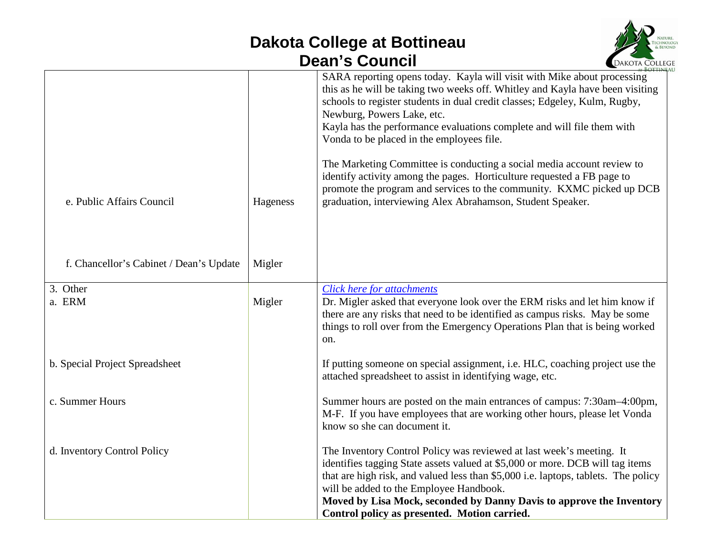## **Dakota College at Bottineau Dean's Council**



|                                         |          | SARA reporting opens today. Kayla will visit with Mike about processing<br>this as he will be taking two weeks off. Whitley and Kayla have been visiting<br>schools to register students in dual credit classes; Edgeley, Kulm, Rugby,<br>Newburg, Powers Lake, etc.<br>Kayla has the performance evaluations complete and will file them with<br>Vonda to be placed in the employees file.                    |
|-----------------------------------------|----------|----------------------------------------------------------------------------------------------------------------------------------------------------------------------------------------------------------------------------------------------------------------------------------------------------------------------------------------------------------------------------------------------------------------|
| e. Public Affairs Council               | Hageness | The Marketing Committee is conducting a social media account review to<br>identify activity among the pages. Horticulture requested a FB page to<br>promote the program and services to the community. KXMC picked up DCB<br>graduation, interviewing Alex Abrahamson, Student Speaker.                                                                                                                        |
| f. Chancellor's Cabinet / Dean's Update | Migler   |                                                                                                                                                                                                                                                                                                                                                                                                                |
| 3. Other<br>a. ERM                      | Migler   | Click here for attachments<br>Dr. Migler asked that everyone look over the ERM risks and let him know if<br>there are any risks that need to be identified as campus risks. May be some<br>things to roll over from the Emergency Operations Plan that is being worked<br>on.                                                                                                                                  |
| b. Special Project Spreadsheet          |          | If putting someone on special assignment, i.e. HLC, coaching project use the<br>attached spreadsheet to assist in identifying wage, etc.                                                                                                                                                                                                                                                                       |
| c. Summer Hours                         |          | Summer hours are posted on the main entrances of campus: 7:30am-4:00pm,<br>M-F. If you have employees that are working other hours, please let Vonda<br>know so she can document it.                                                                                                                                                                                                                           |
| d. Inventory Control Policy             |          | The Inventory Control Policy was reviewed at last week's meeting. It<br>identifies tagging State assets valued at \$5,000 or more. DCB will tag items<br>that are high risk, and valued less than \$5,000 i.e. laptops, tablets. The policy<br>will be added to the Employee Handbook.<br>Moved by Lisa Mock, seconded by Danny Davis to approve the Inventory<br>Control policy as presented. Motion carried. |